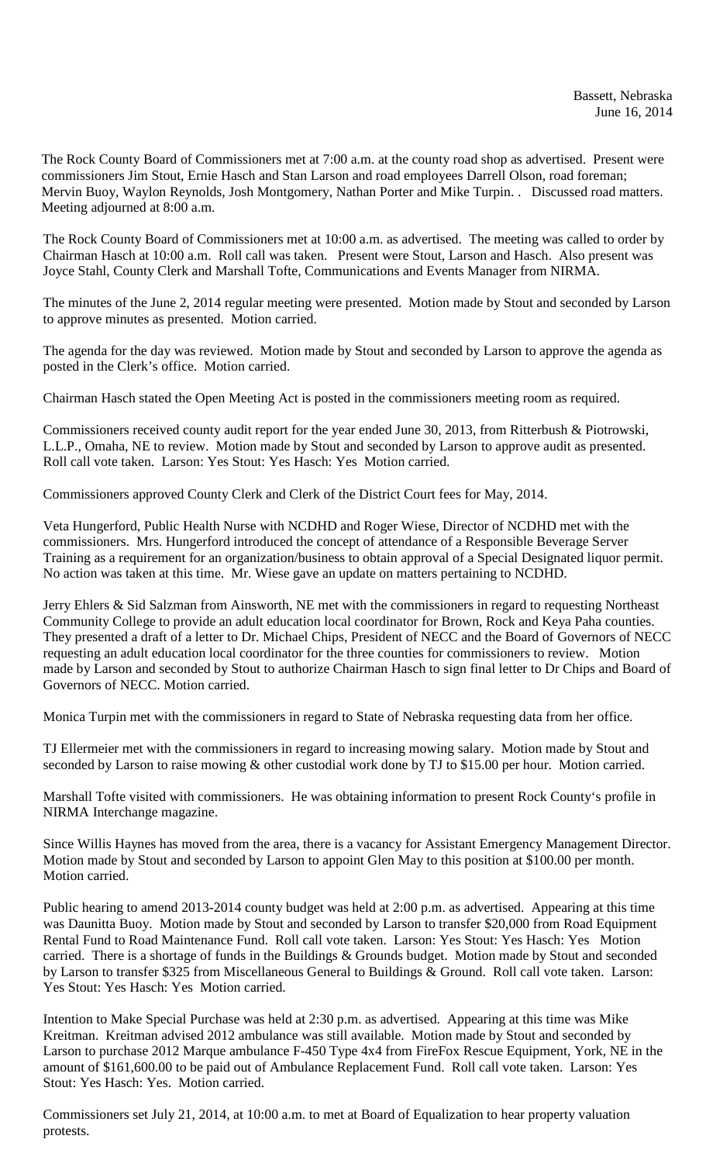The Rock County Board of Commissioners met at 7:00 a.m. at the county road shop as advertised. Present were commissioners Jim Stout, Ernie Hasch and Stan Larson and road employees Darrell Olson, road foreman; Mervin Buoy, Waylon Reynolds, Josh Montgomery, Nathan Porter and Mike Turpin. . Discussed road matters. Meeting adjourned at 8:00 a.m.

The Rock County Board of Commissioners met at 10:00 a.m. as advertised. The meeting was called to order by Chairman Hasch at 10:00 a.m. Roll call was taken. Present were Stout, Larson and Hasch. Also present was Joyce Stahl, County Clerk and Marshall Tofte, Communications and Events Manager from NIRMA.

The minutes of the June 2, 2014 regular meeting were presented. Motion made by Stout and seconded by Larson to approve minutes as presented. Motion carried.

The agenda for the day was reviewed. Motion made by Stout and seconded by Larson to approve the agenda as posted in the Clerk's office. Motion carried.

Chairman Hasch stated the Open Meeting Act is posted in the commissioners meeting room as required.

Commissioners received county audit report for the year ended June 30, 2013, from Ritterbush & Piotrowski, L.L.P., Omaha, NE to review. Motion made by Stout and seconded by Larson to approve audit as presented. Roll call vote taken. Larson: Yes Stout: Yes Hasch: Yes Motion carried.

Commissioners approved County Clerk and Clerk of the District Court fees for May, 2014.

Veta Hungerford, Public Health Nurse with NCDHD and Roger Wiese, Director of NCDHD met with the commissioners. Mrs. Hungerford introduced the concept of attendance of a Responsible Beverage Server Training as a requirement for an organization/business to obtain approval of a Special Designated liquor permit. No action was taken at this time. Mr. Wiese gave an update on matters pertaining to NCDHD.

Jerry Ehlers & Sid Salzman from Ainsworth, NE met with the commissioners in regard to requesting Northeast Community College to provide an adult education local coordinator for Brown, Rock and Keya Paha counties. They presented a draft of a letter to Dr. Michael Chips, President of NECC and the Board of Governors of NECC requesting an adult education local coordinator for the three counties for commissioners to review. Motion made by Larson and seconded by Stout to authorize Chairman Hasch to sign final letter to Dr Chips and Board of Governors of NECC. Motion carried.

Monica Turpin met with the commissioners in regard to State of Nebraska requesting data from her office.

TJ Ellermeier met with the commissioners in regard to increasing mowing salary. Motion made by Stout and seconded by Larson to raise mowing  $&$  other custodial work done by TJ to \$15.00 per hour. Motion carried.

Marshall Tofte visited with commissioners. He was obtaining information to present Rock County's profile in NIRMA Interchange magazine.

Since Willis Haynes has moved from the area, there is a vacancy for Assistant Emergency Management Director. Motion made by Stout and seconded by Larson to appoint Glen May to this position at \$100.00 per month. Motion carried.

Public hearing to amend 2013-2014 county budget was held at 2:00 p.m. as advertised. Appearing at this time was Daunitta Buoy. Motion made by Stout and seconded by Larson to transfer \$20,000 from Road Equipment Rental Fund to Road Maintenance Fund. Roll call vote taken. Larson: Yes Stout: Yes Hasch: Yes Motion carried. There is a shortage of funds in the Buildings & Grounds budget. Motion made by Stout and seconded by Larson to transfer \$325 from Miscellaneous General to Buildings & Ground. Roll call vote taken. Larson: Yes Stout: Yes Hasch: Yes Motion carried.

Intention to Make Special Purchase was held at 2:30 p.m. as advertised. Appearing at this time was Mike Kreitman. Kreitman advised 2012 ambulance was still available. Motion made by Stout and seconded by Larson to purchase 2012 Marque ambulance F-450 Type 4x4 from FireFox Rescue Equipment, York, NE in the amount of \$161,600.00 to be paid out of Ambulance Replacement Fund. Roll call vote taken. Larson: Yes Stout: Yes Hasch: Yes. Motion carried.

Commissioners set July 21, 2014, at 10:00 a.m. to met at Board of Equalization to hear property valuation protests.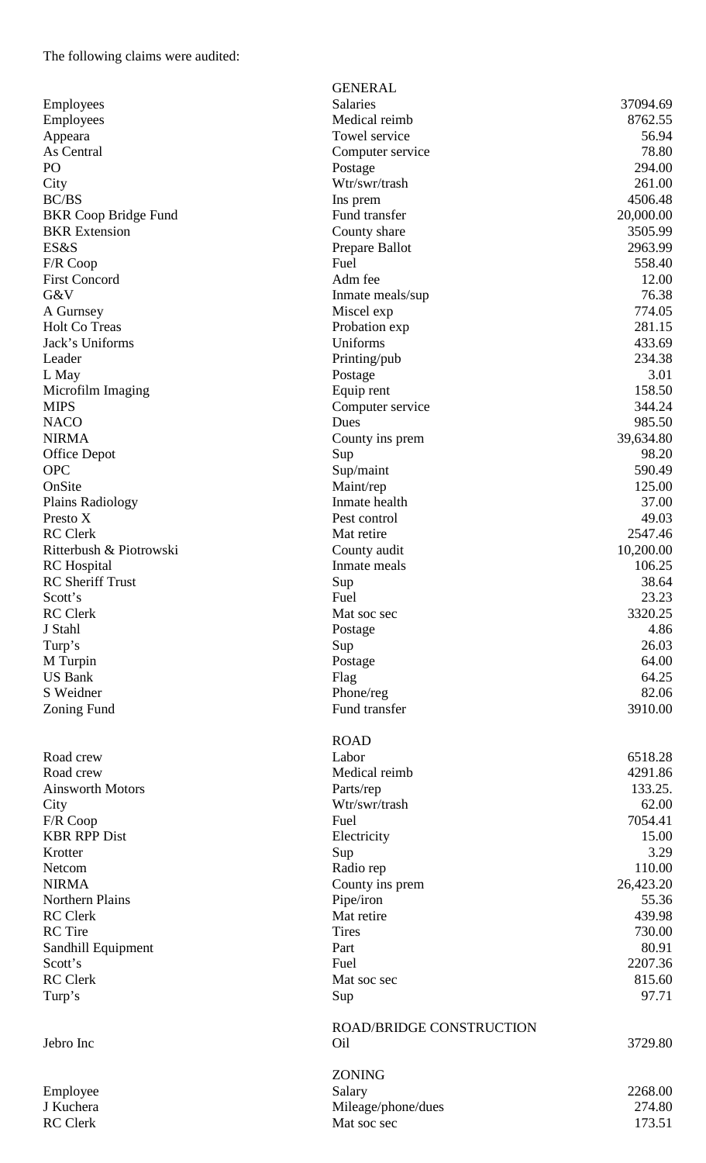| Employees                   |
|-----------------------------|
| Employees                   |
| Appeara                     |
| As Central                  |
| PО                          |
|                             |
| City                        |
| <b>BC/BS</b>                |
| <b>BKR Coop Bridge Fund</b> |
| <b>BKR</b> Extension        |
| ES&S                        |
| F/R Coop                    |
| <b>First Concord</b>        |
| G&V                         |
| A Gurnsey                   |
| <b>Holt Co Treas</b>        |
| Jack's Uniforms             |
| Leader                      |
| L May                       |
|                             |
| Microfilm Imaging           |
| <b>MIPS</b>                 |
| <b>NACO</b>                 |
| <b>NIRMA</b>                |
| <b>Office Depot</b>         |
| <b>OPC</b>                  |
| OnSite                      |
| <b>Plains Radiology</b>     |
| Presto X                    |
| <b>RC</b> Clerk             |
| Ritterbush & Piotrowski     |
| <b>RC</b> Hospital          |
| <b>RC</b> Sheriff Trust     |
| Scott's                     |
| <b>RC</b> Clerk             |
|                             |
|                             |
| J Stahl                     |
| Turp's                      |
| M Turpin                    |
| <b>US Bank</b>              |
| S Weidner                   |
| <b>Zoning Fund</b>          |
|                             |
|                             |
| Road crew                   |
| Road crew                   |
| <b>Ainsworth Motors</b>     |
| City                        |
| F/R Coop                    |
| <b>KBR RPP Dist</b>         |
| Krotter                     |
| Netcom                      |
| <b>NIRMA</b>                |
| <b>Northern Plains</b>      |
| <b>RC</b> Clerk             |
| <b>RC</b> Tire              |
| Sandhill Equipment          |
| Scott's                     |

|                                     | <b>GENERAL</b>                  |                  |
|-------------------------------------|---------------------------------|------------------|
| Employees                           | Salaries                        | 37094.69         |
| Employees                           | Medical reimb                   | 8762.55          |
| Appeara                             | Towel service                   | 56.94            |
| As Central                          | Computer service                | 78.80            |
| PO                                  | Postage                         | 294.00           |
| City                                | Wtr/swr/trash                   | 261.00           |
| <b>BC/BS</b>                        | Ins prem                        | 4506.48          |
| <b>BKR Coop Bridge Fund</b>         | Fund transfer                   | 20,000.00        |
| <b>BKR</b> Extension                | County share                    | 3505.99          |
| ES&S                                | Prepare Ballot                  | 2963.99          |
| F/R Coop                            | Fuel                            | 558.40           |
| <b>First Concord</b>                | Adm fee                         | 12.00            |
| G&V                                 | Inmate meals/sup                | 76.38            |
| A Gurnsey                           | Miscel exp                      | 774.05           |
| Holt Co Treas                       | Probation exp                   | 281.15           |
| Jack's Uniforms                     | Uniforms                        | 433.69           |
| Leader                              | Printing/pub                    | 234.38           |
| L May                               | Postage                         | 3.01             |
| Microfilm Imaging                   | Equip rent                      | 158.50           |
| MIPS                                | Computer service                | 344.24           |
| NACO                                | Dues                            | 985.50           |
| NIRMA                               | County ins prem                 | 39,634.80        |
| <b>Office Depot</b>                 | Sup                             | 98.20            |
| <b>OPC</b>                          | Sup/maint                       | 590.49<br>125.00 |
| OnSite                              | Maint/rep<br>Inmate health      | 37.00            |
| <b>Plains Radiology</b><br>Presto X | Pest control                    | 49.03            |
| <b>RC</b> Clerk                     | Mat retire                      | 2547.46          |
| Ritterbush & Piotrowski             |                                 | 10,200.00        |
| <b>RC</b> Hospital                  | County audit<br>Inmate meals    | 106.25           |
| <b>RC</b> Sheriff Trust             | Sup                             | 38.64            |
| Scott's                             | Fuel                            | 23.23            |
| <b>RC</b> Clerk                     | Mat soc sec                     | 3320.25          |
| J Stahl                             | Postage                         | 4.86             |
| Turp's                              | Sup                             | 26.03            |
| M Turpin                            | Postage                         | 64.00            |
| <b>US Bank</b>                      | Flag                            | 64.25            |
| S Weidner                           | Phone/reg                       | 82.06            |
| Zoning Fund                         | Fund transfer                   | 3910.00          |
|                                     |                                 |                  |
|                                     | <b>ROAD</b>                     |                  |
| Road crew                           | Labor                           | 6518.28          |
| Road crew                           | Medical reimb                   | 4291.86          |
| <b>Ainsworth Motors</b>             | Parts/rep                       | 133.25.          |
| City                                | Wtr/swr/trash                   | 62.00            |
| F/R Coop                            | Fuel                            | 7054.41          |
| <b>KBR RPP Dist</b>                 | Electricity                     | 15.00            |
| Krotter                             | Sup                             | 3.29             |
| Netcom                              | Radio rep                       | 110.00           |
| NIRMA                               | County ins prem                 | 26,423.20        |
| Northern Plains                     | Pipe/iron                       | 55.36            |
| <b>RC</b> Clerk                     | Mat retire                      | 439.98           |
| <b>RC</b> Tire                      | <b>Tires</b>                    | 730.00           |
| Sandhill Equipment                  | Part                            | 80.91            |
| Scott's                             | Fuel                            | 2207.36          |
| <b>RC</b> Clerk                     | Mat soc sec                     | 815.60           |
| Turp's                              | Sup                             | 97.71            |
|                                     |                                 |                  |
|                                     | <b>ROAD/BRIDGE CONSTRUCTION</b> |                  |
| Jebro Inc                           | Oil                             | 3729.80          |
|                                     |                                 |                  |
|                                     | <b>ZONING</b>                   |                  |
| Employee                            | Salary                          | 2268.00          |
| J Kuchera                           | Mileage/phone/dues              | 274.80           |
| RC Clerk                            | Mat soc sec                     | 173.51           |
|                                     |                                 |                  |